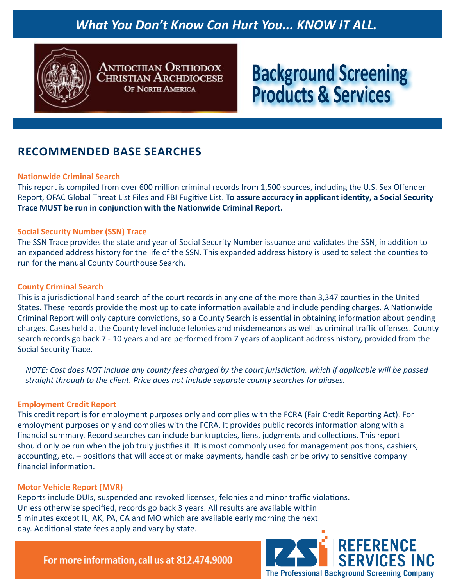## *What You Don't Know Can Hurt You... KNOW IT ALL.*



**ANTIOCHIAN ORTHODOX** Christian Archdiocese **OF NORTH AMERICA** 

# **Background Screening Products & Services**

### **RECOMMENDED BASE SEARCHES**

#### **Nationwide Criminal Search**

This report is compiled from over 600 million criminal records from 1,500 sources, including the U.S. Sex Offender Report, OFAC Global Threat List Files and FBI Fugitive List. **To assure accuracy in applicant identity, a Social Security Trace MUST be run in conjunction with the Nationwide Criminal Report.**

#### **Social Security Number (SSN) Trace**

The SSN Trace provides the state and year of Social Security Number issuance and validates the SSN, in addition to an expanded address history for the life of the SSN. This expanded address history is used to select the counties to run for the manual County Courthouse Search.

#### **County Criminal Search**

This is a jurisdictional hand search of the court records in any one of the more than 3,347 counties in the United States. These records provide the most up to date information available and include pending charges. A Nationwide Criminal Report will only capture convictions, so a County Search is essential in obtaining information about pending charges. Cases held at the County level include felonies and misdemeanors as well as criminal traffic offenses. County search records go back 7 - 10 years and are performed from 7 years of applicant address history, provided from the Social Security Trace.

NOTE: Cost does NOT include any county fees charged by the court jurisdiction, which if applicable will be passed *straight through to the client. Price does not include separate county searches for aliases.*

#### **Employment Credit Report**

This credit report is for employment purposes only and complies with the FCRA (Fair Credit Reporting Act). For employment purposes only and complies with the FCRA. It provides public records information along with a financial summary. Record searches can include bankruptcies, liens, judgments and collections. This report should only be run when the job truly justifies it. It is most commonly used for management positions, cashiers, accounting, etc. – positions that will accept or make payments, handle cash or be privy to sensitive company financial information.

#### **Motor Vehicle Report (MVR)**

Reports include DUIs, suspended and revoked licenses, felonies and minor traffic violations. Unless otherwise specified, records go back 3 years. All results are available within 5 minutes except IL, AK, PA, CA and MO which are available early morning the next day. Additional state fees apply and vary by state.

For more information, call us at 812.474.9000